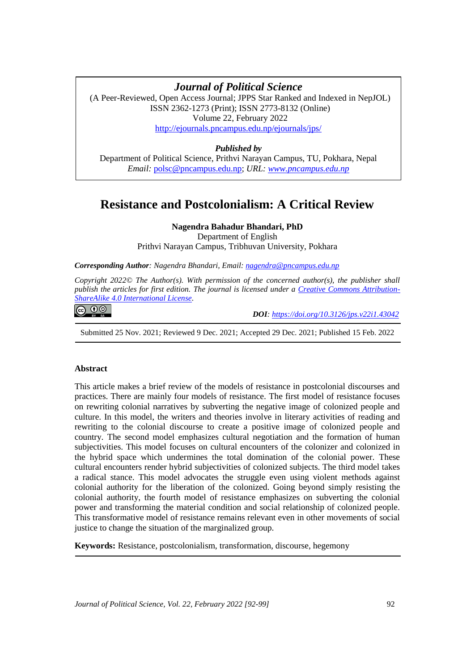# **Resistance and Postcolonialism: A Critical Review** *Journal of Political Science*

(A Peer-Reviewed, Open Access Journal; JPPS Star Ranked and Indexed in NepJOL) ISSN 2362-1273 (Print); ISSN 2773-8132 (Online) Volume 22, February 2022 <http://ejournals.pncampus.edu.np/ejournals/jps/>

## *Published by*

Department of Political Science, Prithvi Narayan Campus, TU, Pokhara, Nepal *Email:* [polsc@pncampus.edu.np;](mailto:polsc@pncampus.edu.np) *URL: [www.pncampus.edu.np](http://www.pncampus.edu.np/)*

## **Resistance and Postcolonialism: A Critical Review**

## **Nagendra Bahadur Bhandari, PhD**

Department of English Prithvi Narayan Campus, Tribhuvan University, Pokhara

*Corresponding Author: Nagendra Bhandari, Email: [nagendra@pncampus.edu.np](mailto:nagendra@pncampus.edu.np)*

*Copyright 2022© The Author(s). With permission of the concerned author(s), the publisher shall publish the articles for first edition. The journal is licensed under a [Creative Commons Attribution-](https://creativecommons.org/licenses/by-sa/4.0/)[ShareAlike 4.0 International License.](https://creativecommons.org/licenses/by-sa/4.0/)*

## <u>ෙ 0 ම</u>

 *DOI: <https://doi.org/10.3126/jps.v22i1.43042>*

Submitted 25 Nov. 2021; Reviewed 9 Dec. 2021; Accepted 29 Dec. 2021; Published 15 Feb. 2022

### **Abstract**

This article makes a brief review of the models of resistance in postcolonial discourses and practices. There are mainly four models of resistance. The first model of resistance focuses on rewriting colonial narratives by subverting the negative image of colonized people and culture. In this model, the writers and theories involve in literary activities of reading and rewriting to the colonial discourse to create a positive image of colonized people and country. The second model emphasizes cultural negotiation and the formation of human subjectivities. This model focuses on cultural encounters of the colonizer and colonized in the hybrid space which undermines the total domination of the colonial power. These cultural encounters render hybrid subjectivities of colonized subjects. The third model takes a radical stance. This model advocates the struggle even using violent methods against colonial authority for the liberation of the colonized. Going beyond simply resisting the colonial authority, the fourth model of resistance emphasizes on subverting the colonial power and transforming the material condition and social relationship of colonized people. This transformative model of resistance remains relevant even in other movements of social justice to change the situation of the marginalized group.

**Keywords:** Resistance, postcolonialism, transformation, discourse, hegemony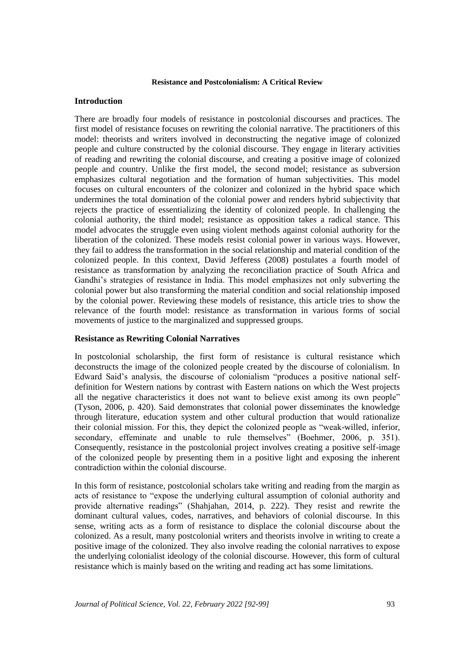## **Introduction**

There are broadly four models of resistance in postcolonial discourses and practices. The first model of resistance focuses on rewriting the colonial narrative. The practitioners of this model: theorists and writers involved in deconstructing the negative image of colonized people and culture constructed by the colonial discourse. They engage in literary activities of reading and rewriting the colonial discourse, and creating a positive image of colonized people and country. Unlike the first model, the second model; resistance as subversion emphasizes cultural negotiation and the formation of human subjectivities. This model focuses on cultural encounters of the colonizer and colonized in the hybrid space which undermines the total domination of the colonial power and renders hybrid subjectivity that rejects the practice of essentializing the identity of colonized people. In challenging the colonial authority, the third model; resistance as opposition takes a radical stance. This model advocates the struggle even using violent methods against colonial authority for the liberation of the colonized. These models resist colonial power in various ways. However, they fail to address the transformation in the social relationship and material condition of the colonized people. In this context, David Jefferess (2008) postulates a fourth model of resistance as transformation by analyzing the reconciliation practice of South Africa and Gandhi's strategies of resistance in India. This model emphasizes not only subverting the colonial power but also transforming the material condition and social relationship imposed by the colonial power. Reviewing these models of resistance, this article tries to show the relevance of the fourth model: resistance as transformation in various forms of social movements of justice to the marginalized and suppressed groups.

## **Resistance as Rewriting Colonial Narratives**

In postcolonial scholarship, the first form of resistance is cultural resistance which deconstructs the image of the colonized people created by the discourse of colonialism. In Edward Said's analysis, the discourse of colonialism "produces a positive national selfdefinition for Western nations by contrast with Eastern nations on which the West projects all the negative characteristics it does not want to believe exist among its own people" (Tyson, 2006, p. 420). Said demonstrates that colonial power disseminates the knowledge through literature, education system and other cultural production that would rationalize their colonial mission. For this, they depict the colonized people as "weak-willed, inferior, secondary, effeminate and unable to rule themselves" (Boehmer, 2006, p. 351). Consequently, resistance in the postcolonial project involves creating a positive self-image of the colonized people by presenting them in a positive light and exposing the inherent contradiction within the colonial discourse.

In this form of resistance, postcolonial scholars take writing and reading from the margin as acts of resistance to "expose the underlying cultural assumption of colonial authority and provide alternative readings" (Shahjahan, 2014, p. 222). They resist and rewrite the dominant cultural values, codes, narratives, and behaviors of colonial discourse. In this sense, writing acts as a form of resistance to displace the colonial discourse about the colonized. As a result, many postcolonial writers and theorists involve in writing to create a positive image of the colonized. They also involve reading the colonial narratives to expose the underlying colonialist ideology of the colonial discourse. However, this form of cultural resistance which is mainly based on the writing and reading act has some limitations.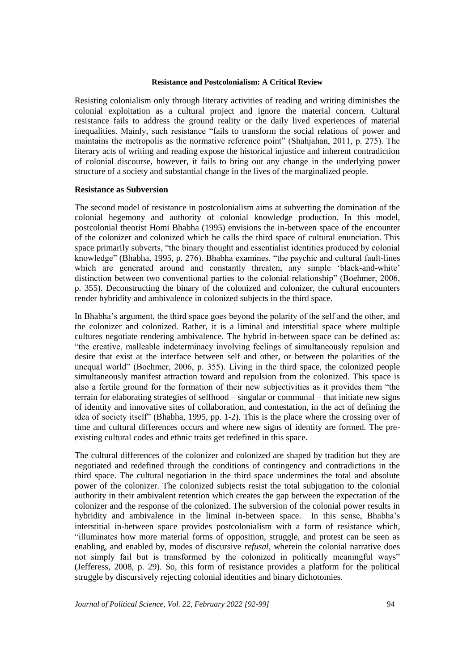Resisting colonialism only through literary activities of reading and writing diminishes the colonial exploitation as a cultural project and ignore the material concern. Cultural resistance fails to address the ground reality or the daily lived experiences of material inequalities. Mainly, such resistance "fails to transform the social relations of power and maintains the metropolis as the normative reference point" (Shahjahan, 2011, p. 275). The literary acts of writing and reading expose the historical injustice and inherent contradiction of colonial discourse, however, it fails to bring out any change in the underlying power structure of a society and substantial change in the lives of the marginalized people.

#### **Resistance as Subversion**

The second model of resistance in postcolonialism aims at subverting the domination of the colonial hegemony and authority of colonial knowledge production. In this model, postcolonial theorist Homi Bhabha (1995) envisions the in-between space of the encounter of the colonizer and colonized which he calls the third space of cultural enunciation. This space primarily subverts, "the binary thought and essentialist identities produced by colonial knowledge" (Bhabha, 1995, p. 276). Bhabha examines, "the psychic and cultural fault-lines which are generated around and constantly threaten, any simple 'black-and-white' distinction between two conventional parties to the colonial relationship" (Boehmer, 2006, p. 355). Deconstructing the binary of the colonized and colonizer, the cultural encounters render hybridity and ambivalence in colonized subjects in the third space.

In Bhabha's argument, the third space goes beyond the polarity of the self and the other, and the colonizer and colonized. Rather, it is a liminal and interstitial space where multiple cultures negotiate rendering ambivalence. The hybrid in-between space can be defined as: "the creative, malleable indeterminacy involving feelings of simultaneously repulsion and desire that exist at the interface between self and other, or between the polarities of the unequal world" (Boehmer, 2006, p. 355). Living in the third space, the colonized people simultaneously manifest attraction toward and repulsion from the colonized. This space is also a fertile ground for the formation of their new subjectivities as it provides them "the terrain for elaborating strategies of selfhood – singular or communal – that initiate new signs of identity and innovative sites of collaboration, and contestation, in the act of defining the idea of society itself" (Bhabha, 1995, pp. 1-2). This is the place where the crossing over of time and cultural differences occurs and where new signs of identity are formed. The preexisting cultural codes and ethnic traits get redefined in this space.

The cultural differences of the colonizer and colonized are shaped by tradition but they are negotiated and redefined through the conditions of contingency and contradictions in the third space. The cultural negotiation in the third space undermines the total and absolute power of the colonizer. The colonized subjects resist the total subjugation to the colonial authority in their ambivalent retention which creates the gap between the expectation of the colonizer and the response of the colonized. The subversion of the colonial power results in hybridity and ambivalence in the liminal in-between space. In this sense, Bhabha's interstitial in-between space provides postcolonialism with a form of resistance which, "illuminates how more material forms of opposition, struggle, and protest can be seen as enabling, and enabled by, modes of discursive *refusal*, wherein the colonial narrative does not simply fail but is transformed by the colonized in politically meaningful ways" (Jefferess, 2008, p. 29). So, this form of resistance provides a platform for the political struggle by discursively rejecting colonial identities and binary dichotomies.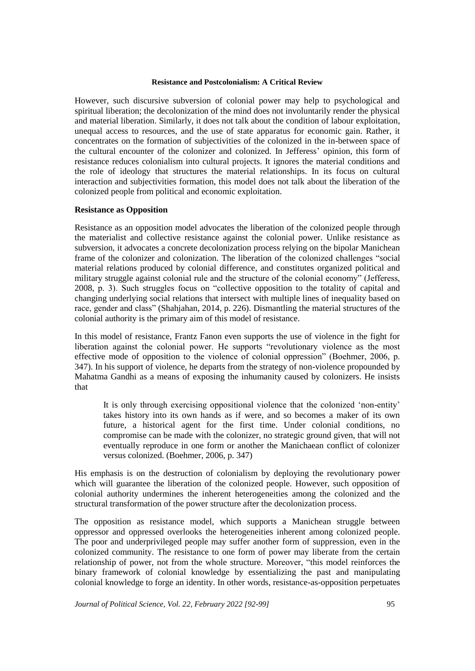However, such discursive subversion of colonial power may help to psychological and spiritual liberation; the decolonization of the mind does not involuntarily render the physical and material liberation. Similarly, it does not talk about the condition of labour exploitation, unequal access to resources, and the use of state apparatus for economic gain. Rather, it concentrates on the formation of subjectivities of the colonized in the in-between space of the cultural encounter of the colonizer and colonized. In Jefferess' opinion, this form of resistance reduces colonialism into cultural projects. It ignores the material conditions and the role of ideology that structures the material relationships. In its focus on cultural interaction and subjectivities formation, this model does not talk about the liberation of the colonized people from political and economic exploitation.

## **Resistance as Opposition**

Resistance as an opposition model advocates the liberation of the colonized people through the materialist and collective resistance against the colonial power. Unlike resistance as subversion, it advocates a concrete decolonization process relying on the bipolar Manichean frame of the colonizer and colonization. The liberation of the colonized challenges "social material relations produced by colonial difference, and constitutes organized political and military struggle against colonial rule and the structure of the colonial economy" (Jefferess, 2008, p. 3). Such struggles focus on "collective opposition to the totality of capital and changing underlying social relations that intersect with multiple lines of inequality based on race, gender and class" (Shahjahan, 2014, p. 226). Dismantling the material structures of the colonial authority is the primary aim of this model of resistance.

In this model of resistance, Frantz Fanon even supports the use of violence in the fight for liberation against the colonial power. He supports "revolutionary violence as the most effective mode of opposition to the violence of colonial oppression" (Boehmer, 2006, p. 347). In his support of violence, he departs from the strategy of non-violence propounded by Mahatma Gandhi as a means of exposing the inhumanity caused by colonizers. He insists that

It is only through exercising oppositional violence that the colonized 'non-entity' takes history into its own hands as if were, and so becomes a maker of its own future, a historical agent for the first time. Under colonial conditions, no compromise can be made with the colonizer, no strategic ground given, that will not eventually reproduce in one form or another the Manichaean conflict of colonizer versus colonized. (Boehmer, 2006, p. 347)

His emphasis is on the destruction of colonialism by deploying the revolutionary power which will guarantee the liberation of the colonized people. However, such opposition of colonial authority undermines the inherent heterogeneities among the colonized and the structural transformation of the power structure after the decolonization process.

The opposition as resistance model, which supports a Manichean struggle between oppressor and oppressed overlooks the heterogeneities inherent among colonized people. The poor and underprivileged people may suffer another form of suppression, even in the colonized community. The resistance to one form of power may liberate from the certain relationship of power, not from the whole structure. Moreover, "this model reinforces the binary framework of colonial knowledge by essentializing the past and manipulating colonial knowledge to forge an identity. In other words, resistance-as-opposition perpetuates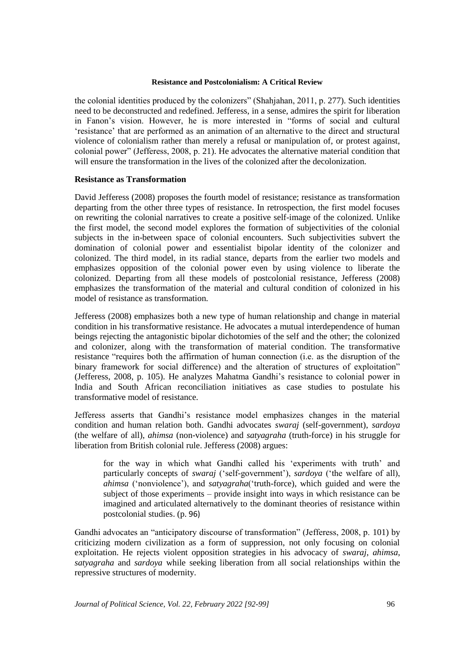the colonial identities produced by the colonizers" (Shahjahan, 2011, p. 277). Such identities need to be deconstructed and redefined. Jefferess, in a sense, admires the spirit for liberation in Fanon's vision. However, he is more interested in "forms of social and cultural 'resistance' that are performed as an animation of an alternative to the direct and structural violence of colonialism rather than merely a refusal or manipulation of, or protest against, colonial power" (Jefferess, 2008, p. 21). He advocates the alternative material condition that will ensure the transformation in the lives of the colonized after the decolonization.

## **Resistance as Transformation**

David Jefferess (2008) proposes the fourth model of resistance; resistance as transformation departing from the other three types of resistance. In retrospection, the first model focuses on rewriting the colonial narratives to create a positive self-image of the colonized. Unlike the first model, the second model explores the formation of subjectivities of the colonial subjects in the in-between space of colonial encounters. Such subjectivities subvert the domination of colonial power and essentialist bipolar identity of the colonizer and colonized. The third model, in its radial stance, departs from the earlier two models and emphasizes opposition of the colonial power even by using violence to liberate the colonized. Departing from all these models of postcolonial resistance, Jefferess (2008) emphasizes the transformation of the material and cultural condition of colonized in his model of resistance as transformation.

Jefferess (2008) emphasizes both a new type of human relationship and change in material condition in his transformative resistance. He advocates a mutual interdependence of human beings rejecting the antagonistic bipolar dichotomies of the self and the other; the colonized and colonizer, along with the transformation of material condition. The transformative resistance "requires both the affirmation of human connection (i.e. as the disruption of the binary framework for social difference) and the alteration of structures of exploitation" (Jefferess, 2008, p. 105). He analyzes Mahatma Gandhi's resistance to colonial power in India and South African reconciliation initiatives as case studies to postulate his transformative model of resistance.

Jefferess asserts that Gandhi's resistance model emphasizes changes in the material condition and human relation both. Gandhi advocates *swaraj* (self-government), *sardoya* (the welfare of all), *ahimsa* (non-violence) and *satyagraha* (truth-force) in his struggle for liberation from British colonial rule. Jefferess (2008) argues:

for the way in which what Gandhi called his 'experiments with truth' and particularly concepts of *swaraj* ('self-government'), *sardoya* ('the welfare of all), *ahimsa* ('nonviolence'), and *satyagraha*('truth-force), which guided and were the subject of those experiments – provide insight into ways in which resistance can be imagined and articulated alternatively to the dominant theories of resistance within postcolonial studies. (p. 96)

Gandhi advocates an "anticipatory discourse of transformation" (Jefferess, 2008, p. 101) by criticizing modern civilization as a form of suppression, not only focusing on colonial exploitation. He rejects violent opposition strategies in his advocacy of *swaraj*, *ahimsa, satyagraha* and *sardoya* while seeking liberation from all social relationships within the repressive structures of modernity.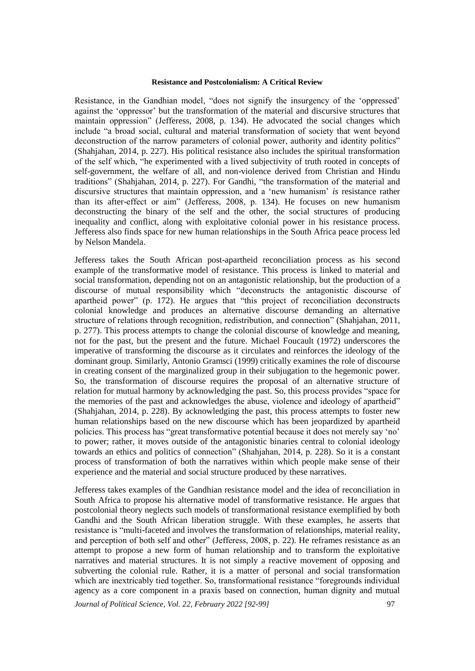Resistance, in the Gandhian model, "does not signify the insurgency of the 'oppressed' against the 'oppressor' but the transformation of the material and discursive structures that maintain oppression" (Jefferess, 2008, p. 134). He advocated the social changes which include "a broad social, cultural and material transformation of society that went beyond deconstruction of the narrow parameters of colonial power, authority and identity politics" (Shahjahan, 2014, p. 227). His political resistance also includes the spiritual transformation of the self which, "he experimented with a lived subjectivity of truth rooted in concepts of self-government, the welfare of all, and non-violence derived from Christian and Hindu traditions" (Shahjahan, 2014, p. 227). For Gandhi, "the transformation of the material and discursive structures that maintain oppression, and a 'new humanism' *is* resistance rather than its after-effect or aim" (Jefferess, 2008, p. 134). He focuses on new humanism deconstructing the binary of the self and the other, the social structures of producing inequality and conflict, along with exploitative colonial power in his resistance process. Jefferess also finds space for new human relationships in the South Africa peace process led by Nelson Mandela.

Jefferess takes the South African post-apartheid reconciliation process as his second example of the transformative model of resistance. This process is linked to material and social transformation, depending not on an antagonistic relationship, but the production of a discourse of mutual responsibility which "deconstructs the antagonistic discourse of apartheid power" (p. 172). He argues that "this project of reconciliation deconstructs colonial knowledge and produces an alternative discourse demanding an alternative structure of relations through recognition, redistribution, and connection" (Shahjahan, 2011, p. 277). This process attempts to change the colonial discourse of knowledge and meaning, not for the past, but the present and the future. Michael Foucault (1972) underscores the imperative of transforming the discourse as it circulates and reinforces the ideology of the dominant group. Similarly, Antonio Gramsci (1999) critically examines the role of discourse in creating consent of the marginalized group in their subjugation to the hegemonic power. So, the transformation of discourse requires the proposal of an alternative structure of relation for mutual harmony by acknowledging the past. So, this process provides "space for the memories of the past and acknowledges the abuse, violence and ideology of apartheid" (Shahjahan, 2014, p. 228). By acknowledging the past, this process attempts to foster new human relationships based on the new discourse which has been jeopardized by apartheid policies. This process has "great transformative potential because it does not merely say 'no' to power; rather, it moves outside of the antagonistic binaries central to colonial ideology towards an ethics and politics of connection" (Shahjahan, 2014, p. 228). So it is a constant process of transformation of both the narratives within which people make sense of their experience and the material and social structure produced by these narratives.

Jefferess takes examples of the Gandhian resistance model and the idea of reconciliation in South Africa to propose his alternative model of transformative resistance. He argues that postcolonial theory neglects such models of transformational resistance exemplified by both Gandhi and the South African liberation struggle. With these examples, he asserts that resistance is "multi-faceted and involves the transformation of relationships, material reality, and perception of both self and other" (Jefferess, 2008, p. 22). He reframes resistance as an attempt to propose a new form of human relationship and to transform the exploitative narratives and material structures. It is not simply a reactive movement of opposing and subverting the colonial rule. Rather, it is a matter of personal and social transformation which are inextricably tied together. So, transformational resistance "foregrounds individual agency as a core component in a praxis based on connection, human dignity and mutual

*Journal of Political Science, Vol. 22, February 2022 [92-99]* 97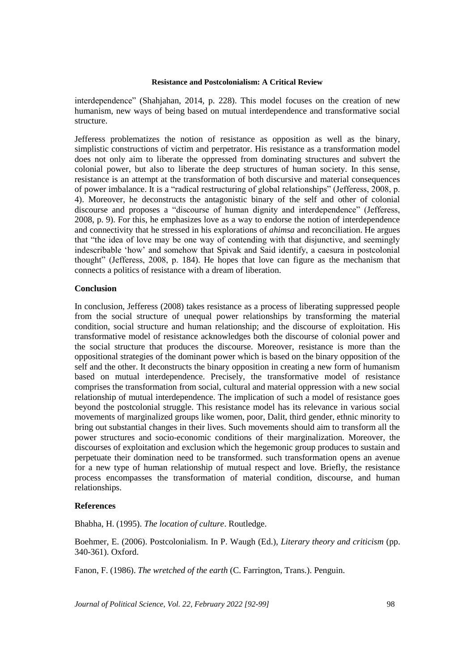interdependence" (Shahjahan, 2014, p. 228). This model focuses on the creation of new humanism, new ways of being based on mutual interdependence and transformative social structure.

Jefferess problematizes the notion of resistance as opposition as well as the binary, simplistic constructions of victim and perpetrator. His resistance as a transformation model does not only aim to liberate the oppressed from dominating structures and subvert the colonial power, but also to liberate the deep structures of human society. In this sense, resistance is an attempt at the transformation of both discursive and material consequences of power imbalance. It is a "radical restructuring of global relationships" (Jefferess, 2008, p. 4). Moreover, he deconstructs the antagonistic binary of the self and other of colonial discourse and proposes a "discourse of human dignity and interdependence" (Jefferess, 2008, p. 9). For this, he emphasizes love as a way to endorse the notion of interdependence and connectivity that he stressed in his explorations of *ahimsa* and reconciliation. He argues that "the idea of love may be one way of contending with that disjunctive, and seemingly indescribable 'how' and somehow that Spivak and Said identify, a caesura in postcolonial thought" (Jefferess, 2008, p. 184). He hopes that love can figure as the mechanism that connects a politics of resistance with a dream of liberation.

### **Conclusion**

In conclusion, Jefferess (2008) takes resistance as a process of liberating suppressed people from the social structure of unequal power relationships by transforming the material condition, social structure and human relationship; and the discourse of exploitation. His transformative model of resistance acknowledges both the discourse of colonial power and the social structure that produces the discourse. Moreover, resistance is more than the oppositional strategies of the dominant power which is based on the binary opposition of the self and the other. It deconstructs the binary opposition in creating a new form of humanism based on mutual interdependence. Precisely, the transformative model of resistance comprises the transformation from social, cultural and material oppression with a new social relationship of mutual interdependence. The implication of such a model of resistance goes beyond the postcolonial struggle. This resistance model has its relevance in various social movements of marginalized groups like women, poor, Dalit, third gender, ethnic minority to bring out substantial changes in their lives. Such movements should aim to transform all the power structures and socio-economic conditions of their marginalization. Moreover, the discourses of exploitation and exclusion which the hegemonic group produces to sustain and perpetuate their domination need to be transformed. such transformation opens an avenue for a new type of human relationship of mutual respect and love. Briefly, the resistance process encompasses the transformation of material condition, discourse, and human relationships.

#### **References**

Bhabha, H. (1995). *The location of culture*. Routledge.

Boehmer, E. (2006). Postcolonialism. In P. Waugh (Ed.), *Literary theory and criticism* (pp. 340-361). Oxford.

Fanon, F. (1986). *The wretched of the earth* (C. Farrington, Trans.). Penguin.

*Journal of Political Science, Vol. 22, February 2022 [92-99]* 98